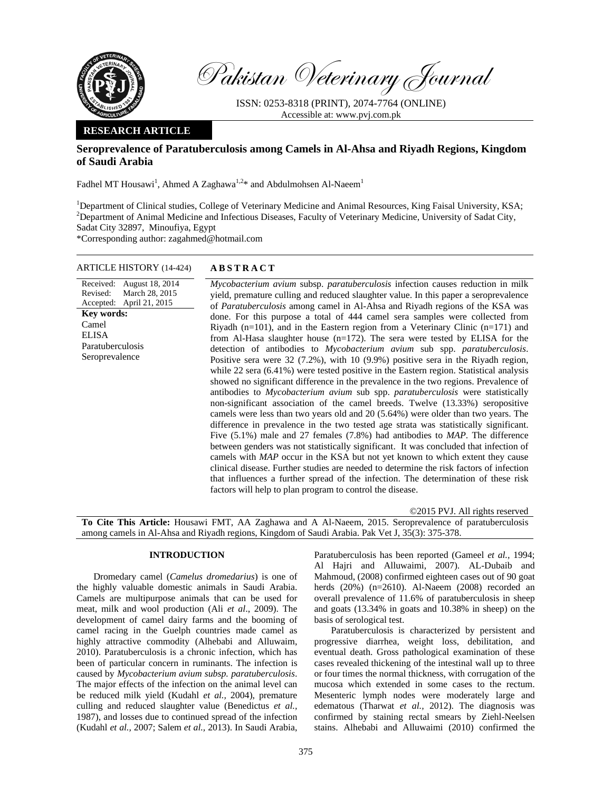

Pakistan Veterinary Journal

ISSN: 0253-8318 (PRINT), 2074-7764 (ONLINE) Accessible at: www.pvj.com.pk

## **RESEARCH ARTICLE**

# **Seroprevalence of Paratuberculosis among Camels in Al-Ahsa and Riyadh Regions, Kingdom of Saudi Arabia**

Fadhel MT Housawi<sup>1</sup>, Ahmed A Zaghawa<sup>1,2\*</sup> and Abdulmohsen Al-Naeem<sup>1</sup>

<sup>1</sup>Department of Clinical studies, College of Veterinary Medicine and Animal Resources, King Faisal University, KSA; <sup>2</sup>Department of Animal Medicine and Infectious Diseases, Faculty of Veterinary Medicine, University of Sadat City, Sadat City 32897, Minoufiya, Egypt

\*Corresponding author: zagahmed@hotmail.com

### ARTICLE HISTORY (14-424) **ABSTRACT**

Received: August 18, 2014 Revised: Accepted: March 28, 2015 April 21, 2015 **Key words:**  Camel ELISA Paratuberculosis Seroprevalence

*Mycobacterium avium* subsp. *paratuberculosis* infection causes reduction in milk yield, premature culling and reduced slaughter value. In this paper a seroprevalence of *Paratuberculosis* among camel in Al-Ahsa and Riyadh regions of the KSA was done. For this purpose a total of 444 camel sera samples were collected from Riyadh (n=101), and in the Eastern region from a Veterinary Clinic (n=171) and from Al-Hasa slaughter house (n=172). The sera were tested by ELISA for the detection of antibodies to *Mycobacterium avium* sub spp. *paratuberculosis*. Positive sera were 32 (7.2%), with 10 (9.9%) positive sera in the Riyadh region, while 22 sera  $(6.41\%)$  were tested positive in the Eastern region. Statistical analysis showed no significant difference in the prevalence in the two regions. Prevalence of antibodies to *Mycobacterium avium* sub spp. *paratuberculosis* were statistically non-significant association of the camel breeds. Twelve (13.33%) seropositive camels were less than two years old and 20 (5.64%) were older than two years. The difference in prevalence in the two tested age strata was statistically significant. Five (5.1%) male and 27 females (7.8%) had antibodies to *MAP*. The difference between genders was not statistically significant. It was concluded that infection of camels with *MAP* occur in the KSA but not yet known to which extent they cause clinical disease. Further studies are needed to determine the risk factors of infection that influences a further spread of the infection. The determination of these risk factors will help to plan program to control the disease.

©2015 PVJ. All rights reserved **To Cite This Article:** Housawi FMT, AA Zaghawa and A Al-Naeem, 2015. Seroprevalence of paratuberculosis among camels in Al-Ahsa and Riyadh regions, Kingdom of Saudi Arabia. Pak Vet J, 35(3): 375-378.

# **INTRODUCTION**

Dromedary camel (*Camelus dromedarius*) is one of the highly valuable domestic animals in Saudi Arabia. Camels are multipurpose animals that can be used for meat, milk and wool production (Ali *et al*., 2009). The development of camel dairy farms and the booming of camel racing in the Guelph countries made camel as highly attractive commodity (Alhebabi and Alluwaim, 2010). Paratuberculosis is a chronic infection, which has been of particular concern in ruminants. The infection is caused by *Mycobacterium avium subsp. paratuberculosis*. The major effects of the infection on the animal level can be reduced milk yield (Kudahl *et al.,* 2004), premature culling and reduced slaughter value (Benedictus *et al.,* 1987), and losses due to continued spread of the infection (Kudahl *et al.,* 2007; Salem *et al.,* 2013). In Saudi Arabia,

Paratuberculosis has been reported (Gameel *et al.,* 1994; Al Hajri and Alluwaimi, 2007). AL-Dubaib and Mahmoud, (2008) confirmed eighteen cases out of 90 goat herds (20%) (n=2610). Al-Naeem (2008) recorded an overall prevalence of 11.6% of paratuberculosis in sheep and goats (13.34% in goats and 10.38% in sheep) on the basis of serological test.

Paratuberculosis is characterized by persistent and progressive diarrhea, weight loss, debilitation, and eventual death. Gross pathological examination of these cases revealed thickening of the intestinal wall up to three or four times the normal thickness, with corrugation of the mucosa which extended in some cases to the rectum. Mesenteric lymph nodes were moderately large and edematous (Tharwat *et al.,* 2012). The diagnosis was confirmed by staining rectal smears by Ziehl-Neelsen stains. Alhebabi and Alluwaimi (2010) confirmed the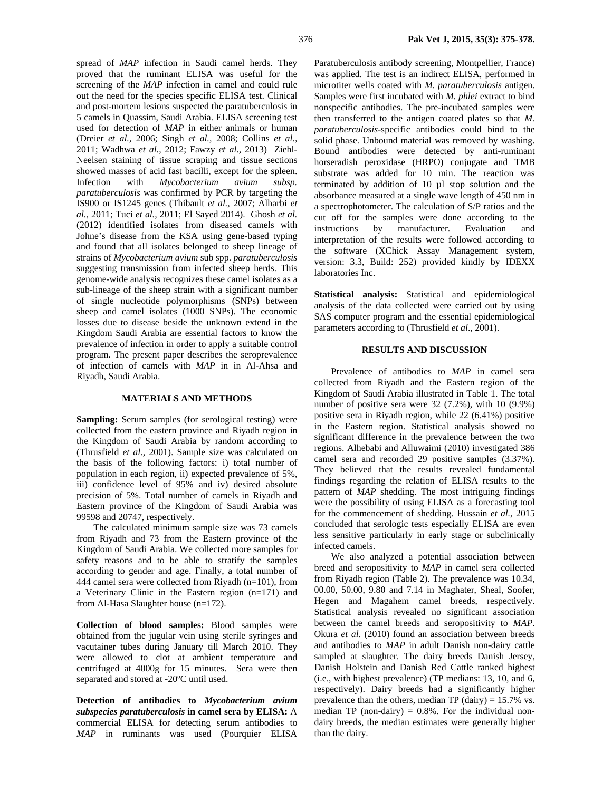spread of *MAP* infection in Saudi camel herds. They proved that the ruminant ELISA was useful for the screening of the *MAP* infection in camel and could rule out the need for the species specific ELISA test. Clinical and post-mortem lesions suspected the paratuberculosis in 5 camels in Quassim, Saudi Arabia. ELISA screening test used for detection of *MAP* in either animals or human (Dreier *et al.,* 2006; Singh *et al.,* 2008; Collins *et al.,* 2011; Wadhwa *et al.,* 2012; Fawzy *et al.,* 2013) Ziehl-Neelsen staining of tissue scraping and tissue sections showed masses of acid fast bacilli, except for the spleen.<br>Infection with *Mycobacterium avium subsp.* Infection with *Mycobacterium avium subsp. paratuberculosis* was confirmed by PCR by targeting the IS900 or IS1245 genes (Thibault *et al.,* 2007; Alharbi *et al.,* 2011; Tuci *et al.,* 2011; El Sayed 2014). Ghosh *et al.* (2012) identified isolates from diseased camels with Johne's disease from the KSA using gene-based typing and found that all isolates belonged to sheep lineage of strains of *Mycobacterium avium* sub spp. *paratuberculosis* suggesting transmission from infected sheep herds. This genome-wide analysis recognizes these camel isolates as a sub-lineage of the sheep strain with a significant number of single nucleotide polymorphisms (SNPs) between sheep and camel isolates (1000 SNPs). The economic losses due to disease beside the unknown extend in the Kingdom Saudi Arabia are essential factors to know the prevalence of infection in order to apply a suitable control program. The present paper describes the seroprevalence of infection of camels with *MAP* in in Al-Ahsa and Riyadh, Saudi Arabia.

#### **MATERIALS AND METHODS**

**Sampling:** Serum samples (for serological testing) were collected from the eastern province and Riyadh region in the Kingdom of Saudi Arabia by random according to (Thrusfield *et al.,* 2001). Sample size was calculated on the basis of the following factors: i) total number of population in each region, ii) expected prevalence of 5%, iii) confidence level of 95% and iv) desired absolute precision of 5%. Total number of camels in Riyadh and Eastern province of the Kingdom of Saudi Arabia was 99598 and 20747, respectively.

The calculated minimum sample size was 73 camels from Riyadh and 73 from the Eastern province of the Kingdom of Saudi Arabia. We collected more samples for safety reasons and to be able to stratify the samples according to gender and age. Finally, a total number of 444 camel sera were collected from Riyadh (n=101), from a Veterinary Clinic in the Eastern region (n=171) and from Al-Hasa Slaughter house (n=172).

**Collection of blood samples:** Blood samples were obtained from the jugular vein using sterile syringes and vacutainer tubes during January till March 2010. They were allowed to clot at ambient temperature and centrifuged at 4000g for 15 minutes. Sera were then separated and stored at -20ºC until used.

**Detection of antibodies to** *Mycobacterium avium subspecies paratuberculosis* **in camel sera by ELISA:** A commercial ELISA for detecting serum antibodies to *MAP* in ruminants was used (Pourquier ELISA

Paratuberculosis antibody screening, Montpellier, France) was applied. The test is an indirect ELISA, performed in microtiter wells coated with *M. paratuberculosis* antigen. Samples were first incubated with *M. phlei* extract to bind nonspecific antibodies. The pre-incubated samples were then transferred to the antigen coated plates so that *M. paratuberculosis*-specific antibodies could bind to the solid phase. Unbound material was removed by washing. Bound antibodies were detected by anti-ruminant horseradish peroxidase (HRPO) conjugate and TMB substrate was added for 10 min. The reaction was terminated by addition of 10 µl stop solution and the absorbance measured at a single wave length of 450 nm in a spectrophotometer. The calculation of S/P ratios and the cut off for the samples were done according to the instructions by manufacturer. Evaluation and interpretation of the results were followed according to the software (XChick Assay Management system, version: 3.3, Build: 252) provided kindly by IDEXX laboratories Inc.

**Statistical analysis:** Statistical and epidemiological analysis of the data collected were carried out by using SAS computer program and the essential epidemiological parameters according to (Thrusfield *et al*., 2001).

### **RESULTS AND DISCUSSION**

Prevalence of antibodies to *MAP* in camel sera collected from Riyadh and the Eastern region of the Kingdom of Saudi Arabia illustrated in Table 1. The total number of positive sera were 32 (7.2%), with 10 (9.9%) positive sera in Riyadh region, while 22 (6.41%) positive in the Eastern region. Statistical analysis showed no significant difference in the prevalence between the two regions. Alhebabi and Alluwaimi (2010) investigated 386 camel sera and recorded 29 positive samples (3.37%). They believed that the results revealed fundamental findings regarding the relation of ELISA results to the pattern of *MAP* shedding. The most intriguing findings were the possibility of using ELISA as a forecasting tool for the commencement of shedding. Hussain *et al.,* 2015 concluded that serologic tests especially ELISA are even less sensitive particularly in early stage or subclinically infected camels.

We also analyzed a potential association between breed and seropositivity to *MAP* in camel sera collected from Riyadh region (Table 2). The prevalence was 10.34, 00.00, 50.00, 9.80 and 7.14 in Maghater, Sheal, Soofer, Hegen and Magahem camel breeds, respectively. Statistical analysis revealed no significant association between the camel breeds and seropositivity to *MAP*. Okura *et al*. (2010) found an association between breeds and antibodies to *MAP* in adult Danish non-dairy cattle sampled at slaughter. The dairy breeds Danish Jersey, Danish Holstein and Danish Red Cattle ranked highest (i.e., with highest prevalence) (TP medians: 13, 10, and 6, respectively). Dairy breeds had a significantly higher prevalence than the others, median TP (dairy) =  $15.7\%$  vs. median TP (non-dairy)  $= 0.8\%$ . For the individual nondairy breeds, the median estimates were generally higher than the dairy.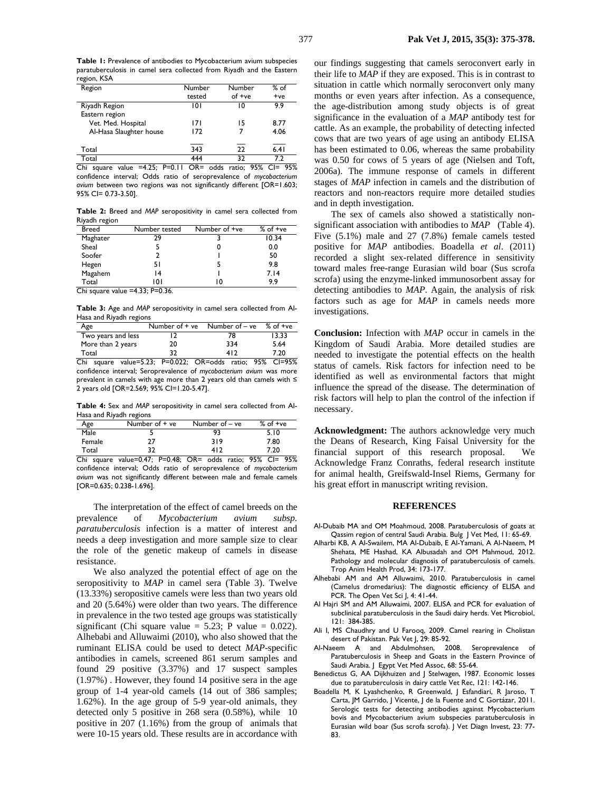**Table 1:** Prevalence of antibodies to Mycobacterium avium subspecies paratuberculosis in camel sera collected from Riyadh and the Eastern region, KSA

| Region                  | Number | Number | $%$ of |
|-------------------------|--------|--------|--------|
|                         | tested | of +ve | $+ve$  |
| Riyadh Region           | 101    | 10     | 99     |
| Eastern region          |        |        |        |
| Vet. Med. Hospital      | 171    | 15     | 8.77   |
| Al-Hasa Slaughter house | 172    |        | 4.06   |
|                         |        |        |        |
| Total                   | 343    | 22     | 6.41   |
| Total                   | 444    | 37     | 79     |

Chi square value =4.25; P=0.11 OR= odds ratio; 95% CI= 95% confidence interval; Odds ratio of seroprevalence of *mycobacterium avium* between two regions was not significantly different [OR=1.603; 95% CI= 0.73-3.50].

**Table 2:** Breed and *MAP* seropositivity in camel sera collected from Riyadh region

| <b>Breed</b>                       | Number tested | Number of +ve | $%$ of $+ve$ |  |
|------------------------------------|---------------|---------------|--------------|--|
| Maghater                           | 29            |               | 10.34        |  |
| Sheal                              |               | 0             | 0.0          |  |
| Soofer                             |               |               | 50           |  |
| Hegen                              | 51            |               | 9.8          |  |
| Magahem                            | 14            |               | 7.14         |  |
| Total                              | 101           | 10            | 99           |  |
| Chi square value $=4.33$ ; P=0.36. |               |               |              |  |

**Table 3:** Age and *MAP* seropositivity in camel sera collected from Al-Hasa and Riyadh regions

| Age                  | Number of + ye           | Number of – ve              | $%$ of $+ve$     |
|----------------------|--------------------------|-----------------------------|------------------|
| Two years and less   |                          | 78                          | 13.33            |
| More than 2 years    | 20                       | 334                         | 5.64             |
| Total                | 32                       | 412                         | 7.20             |
| Chi.<br><b>COUPP</b> | → D=0 022 → P=0 020 Mars | $OR = \triangle$ dds ratio: | $C = 95%$<br>95% |

Chi square value=5.23; P=0.022; OR=odds ratio; 95% CI=95% confidence interval; Seroprevalence of *mycobacterium avium* was more prevalent in camels with age more than 2 years old than camels with ≤ 2 years old [OR=2.569; 95% CI=1.20-5.47].

**Table 4:** Sex and *MAP* seropositivity in camel sera collected from Al-Hasa and Riyadh regions

| Age         | Number of + ye                      | Number of – ve | $%$ of $+ve$                             |
|-------------|-------------------------------------|----------------|------------------------------------------|
| Male        |                                     | 93             | 5.10                                     |
| Female      | 27                                  | 319            | 7.80                                     |
| Total       | 32                                  | 412            | 7.20                                     |
| $- \cdot$ . | $\sim$ $\sim$<br>$\sim$ $\sim$<br>- | . .<br>--      | $- - -$<br>$\bullet - \bullet$<br>$\sim$ |

Chi square value=0.47; P=0.48; OR= odds ratio; 95% CI= 95% confidence interval; Odds ratio of seroprevalence of *mycobacterium avium* was not significantly different between male and female camels [OR=0.635; 0.238-1.696].

The interpretation of the effect of camel breeds on the prevalence of *Mycobacterium avium subsp. paratuberculosis* infection is a matter of interest and needs a deep investigation and more sample size to clear the role of the genetic makeup of camels in disease resistance.

We also analyzed the potential effect of age on the seropositivity to *MAP* in camel sera (Table 3). Twelve (13.33%) seropositive camels were less than two years old and 20 (5.64%) were older than two years. The difference in prevalence in the two tested age groups was statistically significant (Chi square value =  $5.23$ ; P value = 0.022). Alhebabi and Alluwaimi (2010), who also showed that the ruminant ELISA could be used to detect *MAP*-specific antibodies in camels, screened 861 serum samples and found 29 positive (3.37%) and 17 suspect samples (1.97%) . However, they found 14 positive sera in the age group of 1-4 year-old camels (14 out of 386 samples; 1.62%). In the age group of 5-9 year-old animals, they detected only 5 positive in 268 sera (0.58%), while 10 positive in 207 (1.16%) from the group of animals that were 10-15 years old. These results are in accordance with our findings suggesting that camels seroconvert early in their life to *MAP* if they are exposed. This is in contrast to situation in cattle which normally seroconvert only many months or even years after infection. As a consequence, the age-distribution among study objects is of great significance in the evaluation of a *MAP* antibody test for cattle. As an example, the probability of detecting infected cows that are two years of age using an antibody ELISA has been estimated to 0.06, whereas the same probability was 0.50 for cows of 5 years of age (Nielsen and Toft, 2006a). The immune response of camels in different stages of *MAP* infection in camels and the distribution of reactors and non-reactors require more detailed studies and in depth investigation.

The sex of camels also showed a statistically nonsignificant association with antibodies to *MAP* (Table 4). Five (5.1%) male and 27 (7.8%) female camels tested positive for *MAP* antibodies. Boadella *et al*. (2011) recorded a slight sex-related difference in sensitivity toward males free-range Eurasian wild boar (Sus scrofa scrofa) using the enzyme-linked immunosorbent assay for detecting antibodies to *MAP*. Again, the analysis of risk factors such as age for *MAP* in camels needs more investigations.

**Conclusion:** Infection with *MAP* occur in camels in the Kingdom of Saudi Arabia. More detailed studies are needed to investigate the potential effects on the health status of camels. Risk factors for infection need to be identified as well as environmental factors that might influence the spread of the disease. The determination of risk factors will help to plan the control of the infection if necessary.

**Acknowledgment:** The authors acknowledge very much the Deans of Research, King Faisal University for the financial support of this research proposal. We Acknowledge Franz Conraths, federal research institute for animal health, Greifswald-Insel Riems, Germany for his great effort in manuscript writing revision.

#### **REFERENCES**

- Al-Dubaib MA and OM Moahmoud, 2008. Paratuberculosis of goats at Qassim region of central Saudi Arabia. Bulg J Vet Med, 11: 65-69.
- Alharbi KB, A Al-Swailem, MA Al-Dubaib, E Al-Yamani, A Al-Naeem, M Shehata, ME Hashad, KA Albusadah and OM Mahmoud, 2012. Pathology and molecular diagnosis of paratuberculosis of camels. Trop Anim Health Prod, 34: 173-177.
- Alhebabi AM and AM Alluwaimi, 2010. Paratuberculosis in camel (Camelus dromedarius): The diagnostic efficiency of ELISA and PCR. The Open Vet Sci J, 4: 41-44.
- Al Hajri SM and AM Alluwaimi, 2007. ELISA and PCR for evaluation of subclinical paratuberculosis in the Saudi dairy herds. Vet Microbiol, 121: 384-385.
- Ali I, MS Chaudhry and U Farooq, 2009. Camel rearing in Cholistan desert of Pakistan. Pak Vet J, 29: 85-92.
- Al-Naeem A and Abdulmohsen, 2008. Seroprevalence of Paratuberculosis in Sheep and Goats in the Eastern Province of Saudi Arabia. J Egypt Vet Med Assoc, 68: 55-64.
- Benedictus G, AA Dijkhuizen and J Stelwagen, 1987. Economic losses due to paratuberculosis in dairy cattle Vet Rec, 121: 142-146.
- Boadella M, K Lyashchenko, R Greenwald, J Esfandiari, R Jaroso, T Carta, JM Garrido, J Vicente, J de la Fuente and C Gortázar, 2011. Serologic tests for detecting antibodies against Mycobacterium bovis and Mycobacterium avium subspecies paratuberculosis in Eurasian wild boar (Sus scrofa scrofa). J Vet Diagn Invest, 23: 77- 83.